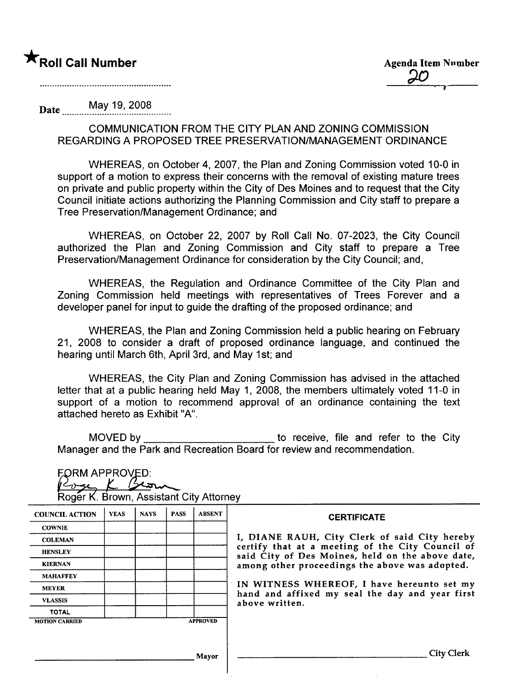Date May 19, 2008

COMMUNICATION FROM THE CITY PLAN AND ZONING COMMISSION REGARDING A PROPOSED TREE PRESERVATION/MANAGEMENT ORDINANCE

WHEREAS, on October 4,2007, the Plan and Zoning Commission voted 10-0 in support of a motion to express their concerns with the removal of existing mature trees on private and public property within the City of Des Moines and to request that the City Council initiate actions authorizing the Planning Commission and City staff to prepare a Tree Preservation/Management Ordinance; and

WHEREAS, on October 22, 2007 by Roll Call No. 07-2023, the City Council authorized the Plan and Zoning Commission and City staff to prepare a Tree Preservation/Management Ordinance for consideration by the City Council; and,

WHEREAS, the Regulation and Ordinance Committee of the City Plan and Zoning Commission held meetings with representatives of Trees Forever and a developer panel for input to guide the drafting of the proposed ordinance; and

WHEREAS, the Plan and Zoning Commission held a public hearing on February 21, 2008 to consider a draft of proposed ordinance language, and continued the hearing until March 6th, April 3rd, and May 1st; and

WHEREAS, the City Plan and Zoning Commission has advised in the attached letter that at a public hearing held May 1, 2008, the members ultimately voted 11-0 in support of a motion to recommend approval of an ordinance containing the text attached hereto as Exhibit "A".

MOVED by \_\_\_\_\_\_\_\_\_\_\_\_\_\_\_\_\_\_\_\_\_\_\_\_\_\_\_\_\_to receive, file and refer to the City

| <b>FORM APPROVED:</b><br>Roger K. Brown, Assistant City Attorney |             |             |             |               | Manager and the Park and Recreation Board for review and recommendation.                           |
|------------------------------------------------------------------|-------------|-------------|-------------|---------------|----------------------------------------------------------------------------------------------------|
| <b>COUNCIL ACTION</b>                                            | <b>YEAS</b> | <b>NAYS</b> | <b>PASS</b> | <b>ABSENT</b> | <b>CERTIFICATE</b>                                                                                 |
| <b>COWNIE</b>                                                    |             |             |             |               |                                                                                                    |
| <b>COLEMAN</b>                                                   |             |             |             |               | I, DIANE RAUH, City Clerk of said City hereby                                                      |
| <b>HENSLEY</b>                                                   |             |             |             |               | certify that at a meeting of the City Council of                                                   |
| <b>KIERNAN</b>                                                   |             |             |             |               | said City of Des Moines, held on the above date,<br>among other proceedings the above was adopted. |
| <b>MAHAFFEY</b>                                                  |             |             |             |               |                                                                                                    |
| <b>MEYER</b>                                                     |             |             |             |               | IN WITNESS WHEREOF, I have hereunto set my                                                         |
| <b>VLASSIS</b>                                                   |             |             |             |               | hand and affixed my seal the day and year first<br>above written.                                  |
| <b>TOTAL</b>                                                     |             |             |             |               |                                                                                                    |
| <b>APPROVED</b><br><b>MOTION CARRIED</b>                         |             |             |             |               |                                                                                                    |
|                                                                  |             |             |             | Mayor         | <b>City Clerk</b>                                                                                  |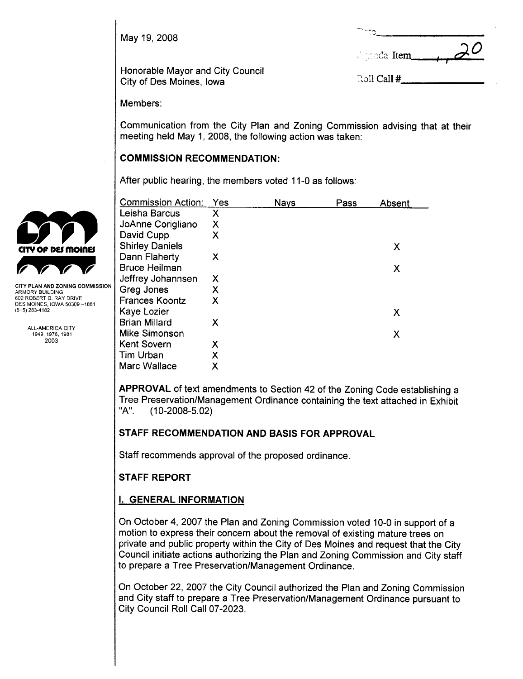May 19, 2008

|                      | $\mathcal{Q}$ |
|----------------------|---------------|
| $\lambda$ minda Item |               |

Honorable Mayor and City Council City of Des Moines, Iowa (;Jll Call # 1999) and the City of Des Moines, Iowa (;J

| रे <b>ाी Call</b> # |  |
|---------------------|--|
|                     |  |

 $\sum_{n}$ 

Members:

Communication from the City Plan and Zoning Commission advising that at their meeting held May 1, 2008, the following action was taken:

## COMMISSION RECOMMENDATION:

After public hearing, the members voted 11-0 as follows:

|                                                        | <b>Commission Action:</b> | Yes | <b>Nays</b> | Pass | Absent |
|--------------------------------------------------------|---------------------------|-----|-------------|------|--------|
|                                                        | Leisha Barcus             | X   |             |      |        |
|                                                        | JoAnne Corigliano         | Χ   |             |      |        |
|                                                        | David Cupp                | X   |             |      |        |
| CITY OF DES MOINES                                     | <b>Shirley Daniels</b>    |     |             |      | X      |
|                                                        | Dann Flaherty             | X   |             |      |        |
|                                                        | <b>Bruce Heilman</b>      |     |             |      | X      |
|                                                        | Jeffrey Johannsen         | X   |             |      |        |
| CITY PLAN AND ZONING COMMISSION<br>ARMORY BUILDING     | Greg Jones                | Χ   |             |      |        |
| 602 ROBERT D. RAY DRIVE<br>DES MOINES, IOWA 50309-1881 | <b>Frances Koontz</b>     | Χ   |             |      |        |
| (515) 283-4182                                         | Kaye Lozier               |     |             |      | X      |
|                                                        | <b>Brian Millard</b>      | X   |             |      |        |
| <b>ALL-AMERICA CITY</b><br>1949, 1976, 1981            | Mike Simonson             |     |             |      | X      |
| 2003                                                   | <b>Kent Sovern</b>        | Χ   |             |      |        |
|                                                        | Tim Urban                 | Χ   |             |      |        |
|                                                        | Marc Wallace              | Χ   |             |      |        |
|                                                        |                           |     |             |      |        |

APPROVAL of text amendments to Section 42 of the Zoning Code establishing a Tree Preservation/Management Ordinance containing the text attached in Exhibit "A", (10-2008-5.02)

# STAFF RECOMMENDATION AND BASIS FOR APPROVAL

Staff recommends approval of the proposed ordinance.

# STAFF REPORT

# i. GENERAL INFORMATION

On October 4, 2007 the Plan and Zoning Commission voted 10-0 in support of a motion to express their concern about the removal of existing mature trees on private and public property within the City of Des Moines and request that the City Council initiate actions authorizing the Plan and Zoning Commission and City staff to prepare a Tree Preservation/Management Ordinance,

On October 22, 2007 the City Council authorized the Plan and Zoning Commission and City staff to prepare a Tree Preservation/Management Ordinance pursuant to City Council Roll Call 07-2023.

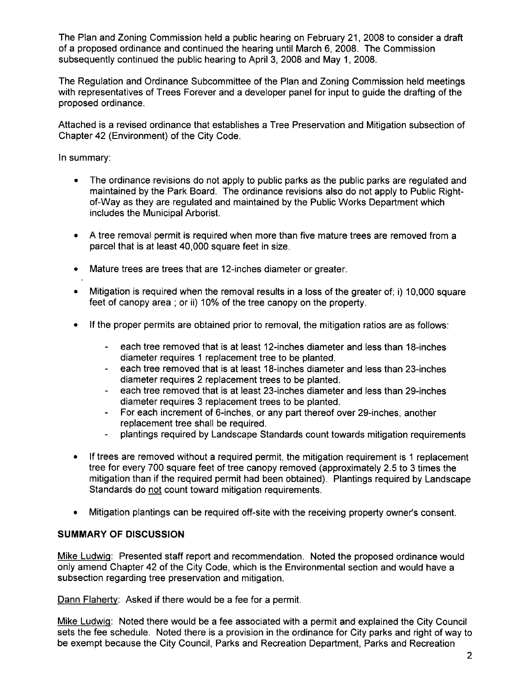The Plan and Zoning Commission held a public hearing on February 21, 2008 to consider a draft of a proposed ordinance and continued the hearing until March 6, 2008, The Commission subsequently continued the public hearing to April 3, 2008 and May 1, 2008.

The Regulation and Ordinance Subcommittee of the Plan and Zoning Commission held meetings with representatives of Trees Forever and a developer panel for input to guide the drafting of the proposed ordinance.

Attached is a revised ordinance that establishes a Tree Preservation and Mitigation subsection of Chapter 42 (Environment) of the City Code,

In summary:

- · The ordinance revisions do not apply to public parks as the public parks are regulated and maintained by the Park Board. The ordinance revisions also do not apply to Public Rightof-Way as they are regulated and maintained by the Public Works Department which includes the Municipal Arborist.
- · A tree removal permit is required when more than five mature trees are removed from a parcel that is at least 40,000 square feet in size.
- · Mature trees are trees that are 12-inches diameter or greater,
- Mitigation is required when the removal results in a loss of the greater of: i) 10,000 square feet of canopy area; or ii) 10% of the tree canopy on the property.
- . If the proper permits are obtained prior to removal, the mitigation ratios are as follows:
	- each tree removed that is at least 12-inches diameter and less than 18-inches diameter requires 1 replacement tree to be planted.
	- each tree removed that is at least 18-inches diameter and less than 23-inches diameter requires 2 replacement trees to be planted.
	- each tree removed that is at least 23-inches diameter and less than 29-inches  $\frac{1}{2}$ diameter requires 3 replacement trees to be planted.
	- For each increment of 6-inches, or any part thereof over 29-inches, another replacement tree shall be required.
	- plantings required by Landscape Standards count towards mitigation requirements
- · If trees are removed without a required permit, the mitigation requirement is 1 replacement tree for every 700 square feet of tree canopy removed (approximately 2,5 to 3 times the mitigation than if the required permit had been obtained). Plantings required by Landscape Standards do not count toward mitigation requirements.
- · Mitigation plantings can be required off-site with the receiving property owner's consent.

#### SUMMARY OF DISCUSSION

Mike Ludwig: Presented staff report and recommendation. Noted the proposed ordinance would only amend Chapter 42 of the City Code, which is the Environmental section and would have a subsection regarding tree preservation and mitigation.

Dann Flaherty: Asked if there would be a fee for a permit.

Mike Ludwig: Noted there would be a fee associated with a permit and explained the City Council sets the fee schedule. Noted there is a provision in the ordinance for City parks and right of way to be exempt because the City Council, Parks and Recreation Department, Parks and Recreation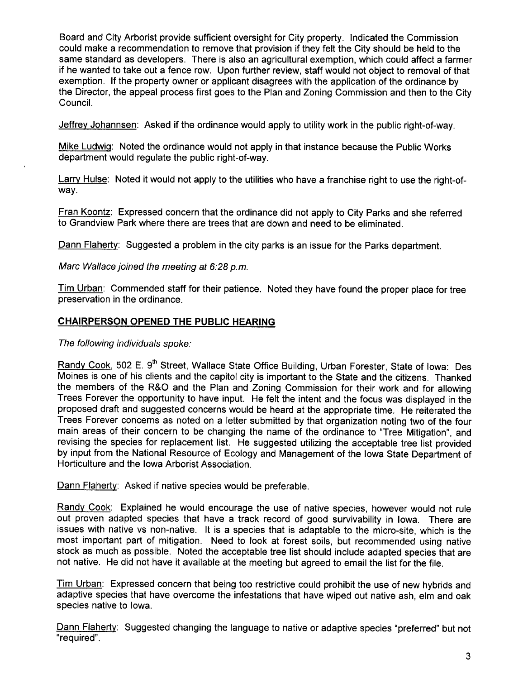Board and City Arborist provide sufficient oversight for City property. Indicated the Commission could make a recommendation to remove that provision if they felt the City should be held to the same standard as developers. There is also an agricultural exemption, which could affect a farmer if he wanted to take out a fence row. Upon further review, staff would not object to removal of that exemption. If the property owner or applicant disagrees with the application of the ordinance by the Director, the appeal process first goes to the Plan and Zoning Commission and then to the City CounciL.

Jeffrey Johannsen: Asked if the ordinance would apply to utility work in the public right-of-way.

Mike Ludwig: Noted the ordinance would not apply in that instance because the Public Works department would regulate the public right-of-way.

Larry Hulse: Noted it would not apply to the utilities who have a franchise right to use the right-ofway.

Fran Koontz: Expressed concern that the ordinance did not apply to City Parks and she referred to Grandview Park where there are trees that are down and need to be eliminated.

Dann Flaherty: Suggested a problem in the city parks is an issue for the Parks department.

Marc Wallace joined the meeting at  $6:28$  p.m.

Tim Urban: Commended staff for their patience. Noted they have found the proper place for tree preservation in the ordinance.

## CHAIRPERSON OPENED THE PUBLIC HEARING

The following individuals spoke:

Randy Cook, 502 E. 9<sup>th</sup> Street, Wallace State Office Building, Urban Forester, State of Iowa: Des Moines is one of his clients and the capitol city is important to the State and the citizens. Thanked the members of the R&O and the Plan and Zoning Commission for their work and for allowing Trees Forever the opportunity to have input. He felt the intent and the focus was displayed in the proposed draft and suggested concerns would be heard at the appropriate time. He reiterated the Trees Forever concerns as noted on a letter submitted by that organization noting two of the four main areas of their concern to be changing the name of the ordinance to 'Tree Mitigation", and revising the species for replacement list. He suggested utilizing the acceptable tree list provided by input from the National Resource of Ecology and Management of the Iowa State Department of Horticulture and the Iowa Arborist Association.

Dann Flaherty: Asked if native species would be preferable.

Randy Cook: Explained he would encourage the use of native species, however would not rule out proven adapted species that have a track record of good survivability in Iowa. There are issues with native vs non-native. It is a species that is adaptable to the micro-site, which is the most important part of mitigation. Need to look at forest soils, but recommended using native stock as much as possible. Noted the acceptable tree list should include adapted species that are not native. He did not have it available at the meeting but agreed to email the list for the file.

Tim Urban: Expressed concern that being too restrictive could prohibit the use of new hybrids and adaptive species that have overcome the infestations that have wiped out native ash, elm and oak species native to Iowa.

Dann Flaherty: Suggested changing the language to native or adaptive species "preferred" but not "required".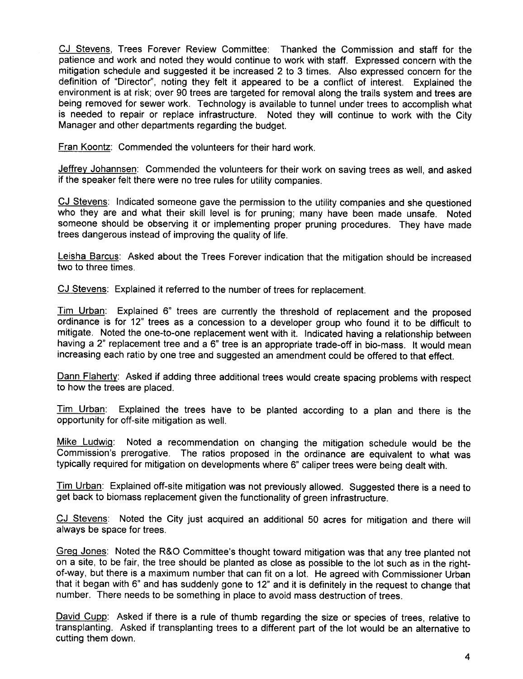CJ Stevens, Trees Forever Review Committee: Thanked the Commission and staff for the patience and work and noted they would continue to work with staff. Expressed concern with the mitigation schedule and suggested it be increased 2 to 3 times. Also expressed concern for the definition of "Director", noting they felt it appeared to be a conflict of interest. Explained the environment is at risk; over 90 trees are targeted for removal along the trails system and trees are being removed for sewer work. Technology is available to tunnel under trees to accomplish what is needed to repair or replace infrastructure. Noted they will continue to work with the City Manager and other departments regarding the budget.

Fran Koontz: Commended the volunteers for their hard work.

Jeffrey Johannsen: Commended the volunteers for their work on saving trees as well, and asked if the speaker felt there were no tree rules for utility companies.

CJ Stevens: Indicated someone gave the permission to the utility companies and she questioned who they are and what their skill level is for pruning; many have been made unsafe. Noted someone should be observing it or implementing proper pruning procedures. They have made trees dangerous instead of improving the quality of life.

Leisha Barcus: Asked about the Trees Forever indication that the mitigation should be increased two to three times.

CJ Stevens: Explained it referred to the number of trees for replacement.

Tim Urban: Explained 6" trees are currently the threshold of replacement and the proposed ordinance is for 12" trees as a concession to a developer group who found it to be difficult to mitigate. Noted the one-to-one replacement went with it. Indicated having a relationship between having a 2" replacement tree and a 6" tree is an appropriate trade-off in bio-mass. It would mean increasing each ratio by one tree and suggested an amendment could be offered to that effect.

Dann Flaherty: Asked if adding three additional trees would create spacing problems with respect to how the trees are placed.

Tim Urban: Explained the trees have to be planted according to a plan and there is the opportunity for off-site mitigation as welL.

Mike Ludwig: Noted a recommendation on changing the mitigation schedule would be the Commission's prerogative. The ratios proposed in the ordinance are equivalent to what was typically required for mitigation on developments where 6" caliper trees were being dealt with.

Tim Urban: Explained off-site mitigation was not previously allowed. Suggested there is a need to get back to biomass replacement given the functionality of green infrastructure.

CJ Stevens: Noted the City just acquired an additional 50 acres for mitigation and there will always be space for trees.

Greg Jones: Noted the R&O Committee's thought toward mitigation was that any tree planted not on a site, to be fair, the tree should be planted as close as possible to the lot such as in the rightof-way, but there is a maximum number that can fit on a lot. He agreed with Commissioner Urban that it began with 6" and has suddenly gone to 12" and it is definitely in the request to change that number. There needs to be something in place to avoid mass destruction of trees.

David Cupp: Asked if there is a rule of thumb regarding the size or species of trees, relative to transplanting. Asked if transplanting trees to a different part of the lot would be an alternative to cutting them down.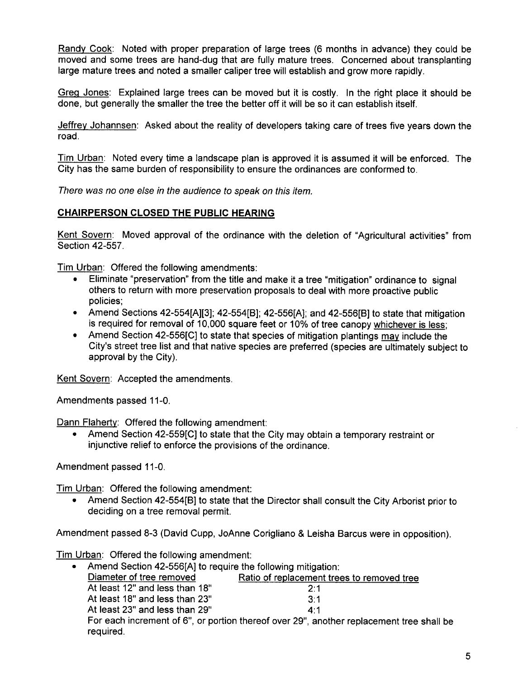Randy Cook: Noted with proper preparation of large trees (6 months in advance) they could be moved and some trees are hand-dug that are fully mature trees. Concerned about transplanting large mature trees and noted a smaller caliper tree will establish and grow more rapidly.

Greo Jones: Explained large trees can be moved but it is costly. In the right place it should be done, but generally the smaller the tree the better off it will be so it can establish itself.

Jeffrey Johannsen: Asked about the reality of developers taking care of trees five years down the road.

Tim Urban: Noted every time a landscape plan is approved it is assumed it will be enforced. The City has the same burden of responsibility to ensure the ordinances are conformed to.

There was no one else in the audience to speak on this item.

# CHAIRPERSON CLOSED THE PUBLIC HEARING

Kent Sovern: Moved approval of the ordinance with the deletion of "Agricultural activities" from Section 42-557.

Tim Urban: Offered the following amendments:

- · Eliminate "preservation" from the title and make it a tree "mitigation" ordinance to signal others to return with more preservation proposals to deal with more proactive public policies;
- · Amend Sections 42-554(A)(3); 42-554(B); 42-556(A); and 42-556(B) to state that mitigation is required for removal of 10,000 square feet or 10% of tree canopy whichever is less;
- Amend Section 42-556[C] to state that species of mitigation plantings may include the City's street tree list and that native species are preferred (species are ultimately subject to approval by the City).

Kent Sovern: Accepted the amendments.

Amendments passed 11-0.

Dann Flaherty: Offered the following amendment:

Amend Section 42-559[C] to state that the City may obtain a temporary restraint or injunctive relief to enforce the provisions of the ordinance.

Amendment passed 11-0.

Tim Urban: Offered the following amendment:

· Amend Section 42-554(B) to state that the Director shall consult the City Arborist prior to deciding on a tree removal permit.

Amendment passed 8-3 (David Cupp, JoAnne Corigliano & Leisha Barcus were in opposition).

Tim Urban: Offered the following amendment:

| • Amend Section 42-556[A] to require the following mitigation: |                                                                                          |
|----------------------------------------------------------------|------------------------------------------------------------------------------------------|
| Diameter of tree removed                                       | Ratio of replacement trees to removed tree                                               |
| At least 12" and less than 18"                                 | 2.1                                                                                      |
| At least 18" and less than 23"                                 | 3:1                                                                                      |
| At least 23" and less than 29"                                 | 4:1                                                                                      |
| required.                                                      | For each increment of 6", or portion thereof over 29", another replacement tree shall be |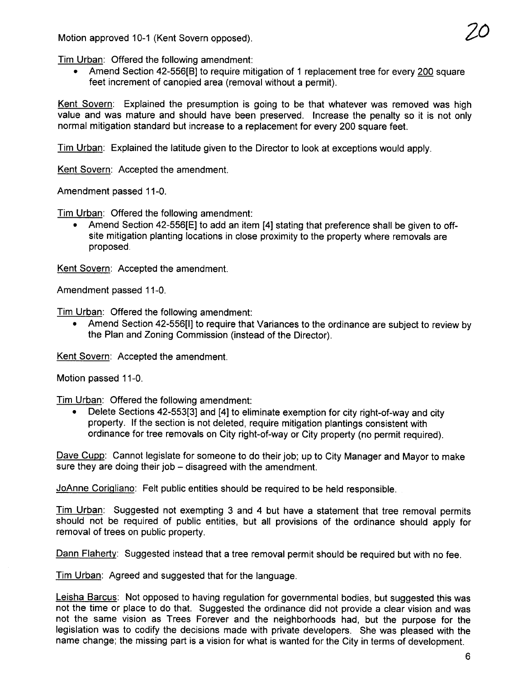Motion approved 10-1 (Kent Sovern opposed).

. Amend Section 42-556(B) to require mitigation of 1 replacement tree for every 200 square feet increment of canopied area (removal without a permit).

Kent Sovern: Explained the presumption is going to be that whatever was removed was high value and was mature and should have been preserved. Increase the penalty so it is not only normal mitigation standard but increase to a replacement for every 200 square feet.

Tim Urban: Explained the latitude given to the Director to look at exceptions would apply.

Kent Sovern: Accepted the amendment.

Amendment passed 11-0.

Tim Urban: Offered the following amendment:

Amend Section 42-556[E] to add an item [4] stating that preference shall be given to offsite mitigation planting locations in close proximity to the property where removals are proposed.

Kent Sovern: Accepted the amendment.

Amendment passed 11-0.

Tim Urban: Offered the following amendment:

· Amend Section 42-556(1) to require that Variances to the ordinance are subject to review by the Plan and Zoning Commission (instead of the Director).

Kent Sovern: Accepted the amendment.

Motion passed 11-0.

Tim Urban: Offered the following amendment:

· Delete Sections 42-553(3) and (4) to eliminate exemption for city right-of-way and city property. If the section is not deleted, require mitigation plantings consistent with ordinance for tree removals on City right-of-way or City property (no permit required).

Dave Cupp: Cannot legislate for someone to do their job; up to City Manager and Mayor to make sure they are doing their job - disagreed with the amendment.

JoAnne Corigliano: Felt public entities should be required to be held responsible.

Tim Urban: Suggested not exempting 3 and 4 but have a statement that tree removal permits should not be required of public entities, but all provisions of the ordinance should apply for removal of trees on public property.

Dann Flaherty: Suggested instead that a tree removal permit should be required but with no fee.

Tim Urban: Agreed and suggested that for the language.

Leisha Barcus: Not opposed to having regulation for governmental bodies, but suggested this was not the time or place to do that. Suggested the ordinance did not provide a clear vision and was not the same vision as Trees Forever and the neighborhoods had, but the purpose for the legislation was to codify the decisions made with private developers. She was pleased with the name change; the missing part is a vision for what is wanted for the City in terms of development.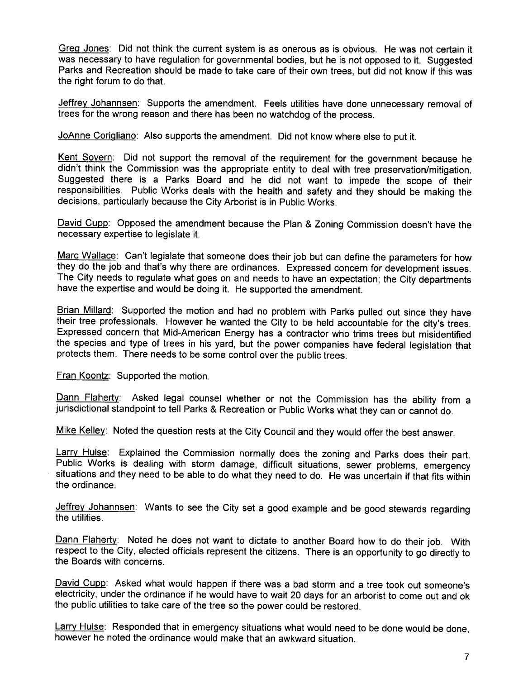Greg Jones: Did not think the current system is as onerous as is obvious. He was not certain it was necessary to have regulation for governmental bodies, but he is not opposed to it. Suggested Parks and Recreation should be made to take care of their own trees, but did not know if this was the right forum to do that.

Jeffrey Johannsen: Supports the amendment. Feels utilities have done unnecessary removal of trees for the wrong reason and there has been no watchdog of the process.

JoAnne Corigliano: Also supports the amendment. Did not know where else to put it.

Kent Sovern: Did not support the removal of the requirement for the government because he didn't think the Commission was the appropriate entity to deal with tree preservation/mitigation. Suggested there is a Parks Board and he did not want to impede the scope of their responsibilities. Public Works deals with the health and safety and they should be making the decisions, particularly because the City Arborist is in Public Works.

David Cupp: Opposed the amendment because the Plan & Zoning Commission doesn't have the necessary expertise to legislate it.

Marc Wallace: Can't legislate that someone does their job but can define the parameters for how they do the job and that's why there are ordinances. Expressed concern for development issues. The City needs to regulate what goes on and needs to have an expectation; the City departments have the expertise and would be doing it. He supported the amendment.

Brian Millard: Supported the motion and had no problem with Parks pulled out since they have their tree professionals. However he wanted the City to be held accountable for the city's trees. Expressed concern that Mid-American Energy has a contractor who trims trees but misidentified the species and type of trees in his yard, but the power companies have federal legislation that protects them. There needs to be some control over the public trees.

Fran Koontz: Supported the motion.

Dann Flaherty: Asked legal counsel whether or not the Commission has the ability from a jurisdictional standpoint to tell Parks & Recreation or Public Works what they can or cannot do.

Mike Kelley: Noted the question rests at the City Council and they would offer the best answer.

Larry Hulse: Explained the Commission normally does the zoning and Parks does their part. Public Works is dealing with storm damage, difficult situations, sewer problems, emergency situations and they need to be able to do what they need to do. He was uncertain if that fits within the ordinance.

Jeffrey Johannsen: Wants to see the City set a good example and be good stewards regarding the utilities.

Dann Flaherty: Noted he does not want to dictate to another Board how to do their job. With respect to the City, elected officials represent the citizens. There is an opportunity to go directly to the Boards with concerns.

David Cupp: Asked what would happen if there was a bad storm and a tree took out someone's electricity, under the ordinance if he would have to wait 20 days for an arborist to come out and ok the public utilities to take care of the tree so the power could be restored.

Larry Hulse: Responded that in emergency situations what would need to be done would be done, however he noted the ordinance would make that an awkward situation.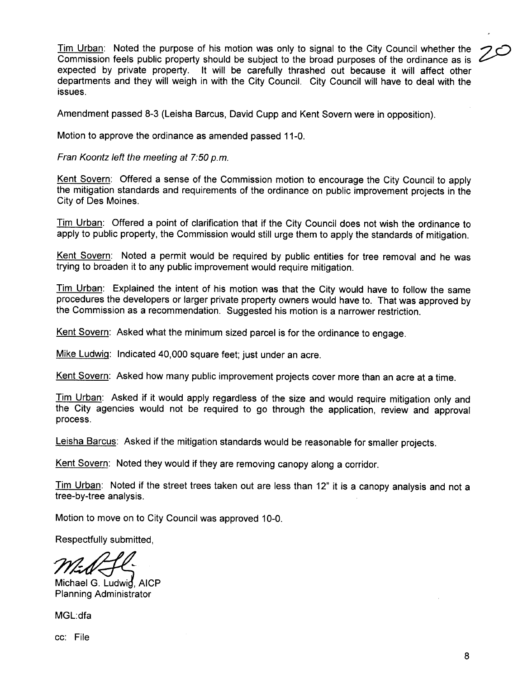Tim Urban: Noted the purpose of his motion was only to signal to the City Council whether the Commission feels public property should be subject to the broad purposes of the ordinance as is ~ expected by private property. It will be carefully thrashed out because it will affect other departments and they will weigh in with the City Council. City Council will have to deal with the issues.

Amendment passed 8-3 (Leisha Barcus, David Cupp and Kent Sovern were in opposition).

Motion to approve the ordinance as amended passed 11-0.

Fran Koontz left the meeting at 7:50 p.m.

Kent Sovern: Offered a sense of the Commission motion to encourage the City Council to apply the mitigation standards and requirements of the ordinance on public improvement projects in the City of Des Moines.

Tim Urban: Offered a point of clarification that if the City Council does not wish the ordinance to apply to public property, the Commission would still urge them to apply the standards of mitigation.

Kent Sovern: Noted a permit would be required by public entities for tree removal and he was trying to broaden it to any public improvement would require mitigation.

Tim Urban: Explained the intent of his motion was that the City would have to follow the same procedures the developers or larger private property owners would have to. That was approved by the Commission as a recommendation. Suggested his motion is a narrower restriction.

Kent Sovern: Asked what the minimum sized parcel is for the ordinance to engage.

Mike Ludwig: Indicated 40,000 square feet; just under an acre.

Kent Sovern: Asked how many public improvement projects cover more than an acre at a time.

Tim Urban: Asked if it would apply regardless of the size and would require mitigation only and the City agencies would not be required to go through the application, review and approval process.

Leisha Barcus: Asked if the mitigation standards would be reasonable for smaller projects.

Kent Sovern: Noted they would if they are removing canopy along a corridor.

Tim Urban: Noted if the street trees taken out are less than 12" it is a canopy analysis and not a tree-by-tree analysis.

Motion to move on to City Council was approved 10-0.

Respectfully submitted,

Michael G. Ludwig, AICP Planning Administrator

MGL:dfa

cc: File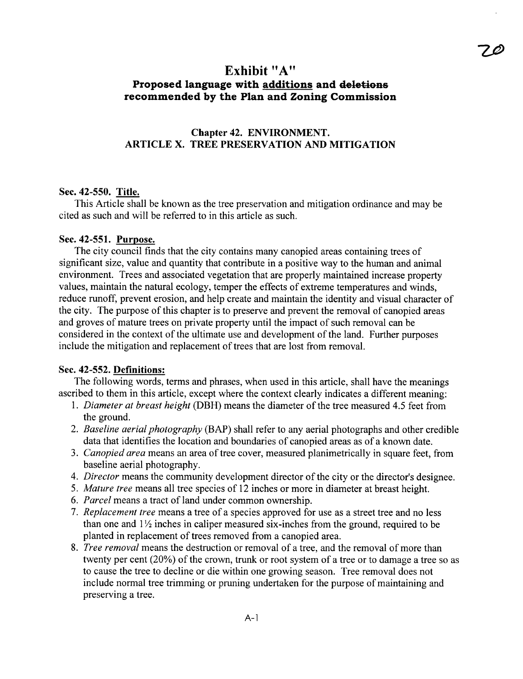# Exhibit "A" Proposed language with additions and deletions recommended by the Plan and Zoning Commission

# Chapter 42. ENVIRONMENT. ARTICLE X. TREE PRESERVATION AND MITIGATION

#### Sec. 42-550. Title.

This Article shall be known as the tree preservation and mitigation ordinance and may be cited as such and will be referred to in this article as such.

## Sec. 42-551. Purpose.

The city council finds that the city contains many canopied areas containing trees of significant size, value and quantity that contribute in a positive way to the human and animal environment. Trees and associated vegetation that are properly maintained increase property values, maintain the natural ecology, temper the effects of extreme temperatures and winds, reduce runoff, prevent erosion, and help create and maintain the identity and visual character of the city. The purose of this chapter is to preserve and prevent the removal of canopied areas and groves of mature trees on private property until the impact of such removal can be considered in the context of the ultimate use and development of the land. Furher purposes include the mitigation and replacement of trees that are lost from removal.

## Sec. 42-552. Definitions:

The following words, terms and phrases, when used in this aricle, shall have the meanings ascribed to them in this article, except where the context clearly indicates a different meaning:

- 1. Diameter at breast height (DBH) means the diameter of the tree measured 4.5 feet from the ground.
- 2. Baseline aerial photography (BAP) shall refer to any aerial photographs and other credible data that identifies the location and boundaries of canopied areas as of a known date.
- 3. Canopied area means an area of tree cover, measured planimetrically in square feet, from baseline aerial photography.
- 4. Director means the community development director of the city or the director's designee.
- 5. Mature tree means all tree species of 12 inches or more in diameter at breast height.
- 6. Parcel means a tract of land under common ownership.
- 7. Replacement tree means a tree of a species approved for use as a street tree and no less than one and  $1\frac{1}{2}$  inches in caliper measured six-inches from the ground, required to be planted in replacement of trees removed from a canopied area.
- 8. Tree removal means the destruction or removal of a tree, and the removal of more than twenty per cent (20%) of the crown, trunk or root system of a tree or to damage a tree so as to cause the tree to decline or die within one growing season. Tree removal does not include normal tree trimming or pruning undertaken for the purpose of maintaining and preserving a tree.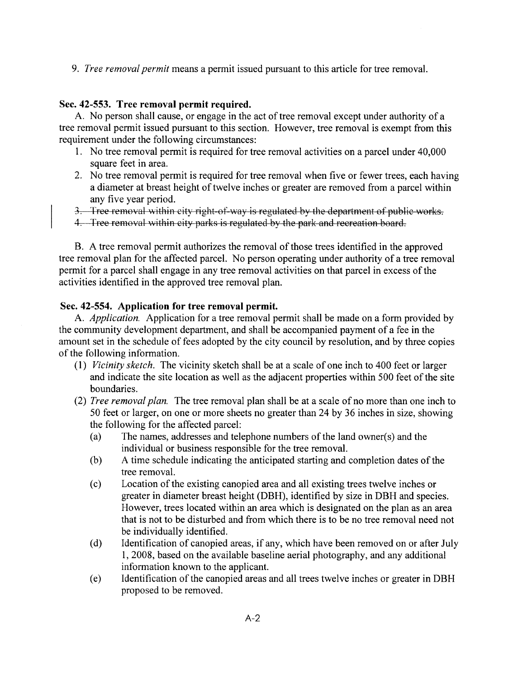9. *Tree removal permit* means a permit issued pursuant to this article for tree removal.

## Sec. 42-553. Tree removal permit required.

A. No person shall cause, or engage in the act of tree removal except under authority of a tree removal permit issued pursuant to this section. However, tree removal is exempt from this requirement under the following circumstances:

- 1. No tree removal permit is required for tree removal activities on a parcel under 40,000 square feet in area.
- 2. No tree removal permit is required for tree removal when five or fewer trees, each having a diameter at breast height of twelve inches or greater are removed from a parcel within any five year period.
- 3. Tree removal within city right-of-way is regulated by the department of public works.
- 1. 'free removal within city parks is regulated by the park and recreation board.

B. A tree removal permit authorizes the removal of those trees identified in the approved tree removal plan for the affected parcel. No person operating under authority of a tree removal permit for a parcel shall engage in any tree removal activities on that parcel in excess of the activities identified in the approved tree removal plan.

## Sec. 42-554. Application for tree removal permit.

A. *Application*. Application for a tree removal permit shall be made on a form provided by the community development department, and shall be accompanied payment of a fee in the amount set in the schedule of fees adopted by the city council by resolution, and by three copies of the following information.

- (1) Vicinity sketch. The vicinity sketch shall be at a scale of one inch to 400 feet or larger and indicate the site location as well as the adjacent properties within 500 feet of the site boundaries.
- (2) Tree removal plan. The tree removal plan shall be at a scale of no more than one inch to 50 feet or larger, on one or more sheets no greater than 24 by 36 inches in size, showing the following for the affected parcel:
	- (a) The names, addresses and telephone numbers of the land owner(s) and the individual or business responsible for the tree removaL.
	- (b) A time schedule indicating the anticipated starting and completion dates of the tree removaL.
	- (c) Location of the existing canopied area and all existing trees twelve inches or greater in diameter breast height (DBH), identified by size in DBH and species. However, trees located within an area which is designated on the plan as an area that is not to be disturbed and from which there is to be no tree removal need not be individually identified.
	- (d) Identification of canopied areas, if any, which have been removed on or after July 1, 2008, based on the available baseline aerial photography, and any additional information known to the applicant.
	- (e) Identification of the canopied areas and all trees twelve inches or greater in DBH proposed to be removed.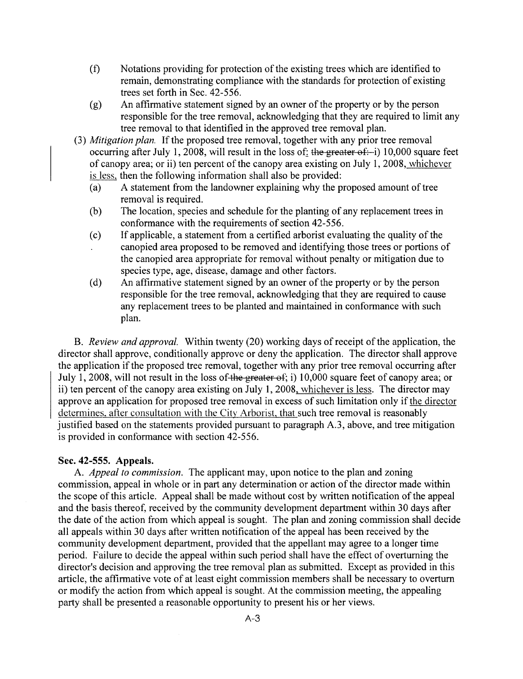- (f) Notations providing for protection of the existing trees which are identified to remain, demonstrating compliance with the standards for protection of existing trees set forth in Sec. 42-556.
- (g) An affrmative statement signed by an owner of the property or by the person responsible for the tree removal, acknowledging that they are required to limit any tree removal to that identified in the approved tree removal plan.
- (3) Mitigation plan. If the proposed tree removal, together with any prior tree removal occurring after July 1, 2008, will result in the loss of: the greater of: i) 10,000 square feet of canopy area; or ii) ten percent of the canopy area existing on July 1, 2008, whichever is less. then the following information shall also be provided:
	- (a) A statement from the landowner explaining why the proposed amount of tree removal is required.
	- (b) The location, species and schedule for the planting of any replacement trees in conformance with the requirements of section 42-556.
	- (c) If applicable, a statement from a certified arborist evaluating the quality of the canopied area proposed to be removed and identifying those trees or portions of the canopied area appropriate for removal without penalty or mitigation due to species type, age, disease, damage and other factors.
	- (d) An affirmative statement signed by an owner of the property or by the person responsible for the tree removal, acknowledging that they are required to cause any replacement trees to be planted and maintained in conformance with such plan.

B. Review and approval. Within twenty (20) working days of receipt of the application, the director shall approve, conditionally approve or deny the application. The director shall approve the application if the proposed tree removal, together with any prior tree removal occurring after July 1, 2008, will not result in the loss of the greater of; i) 10,000 square feet of canopy area; or ii) ten percent of the canopy area existing on July 1, 2008, whichever is less. The director may approve an application for proposed tree removal in excess of such limitation only if the director determines. after consultation with the City Arborist, that such tree removal is reasonably justified based on the statements provided pursuant to paragraph A.3, above, and tree mitigation is provided in conformance with section 42-556.

## Sec. 42-555. Appeals.

A. Appeal to commission. The applicant may, upon notice to the plan and zoning commission, appeal in whole or in part any determination or action of the director made within the scope of this article. Appeal shall be made without cost by written notification of the appeal and the basis thereof, received by the community development department within 30 days after the date of the action from which appeal is sought. The plan and zoning commission shall decide all appeals within 30 days after written notification of the appeal has been received by the community development department, provided that the appellant may agree to a longer time period. Failure to decide the appeal within such period shall have the effect of overturning the director's decision and approving the tree removal plan as submitted. Except as provided in this article, the affrmative vote of at least eight commission members shall be necessary to overturn or modify the action from which appeal is sought. At the commission meeting, the appealing party shall be presented a reasonable opportunity to present his or her views.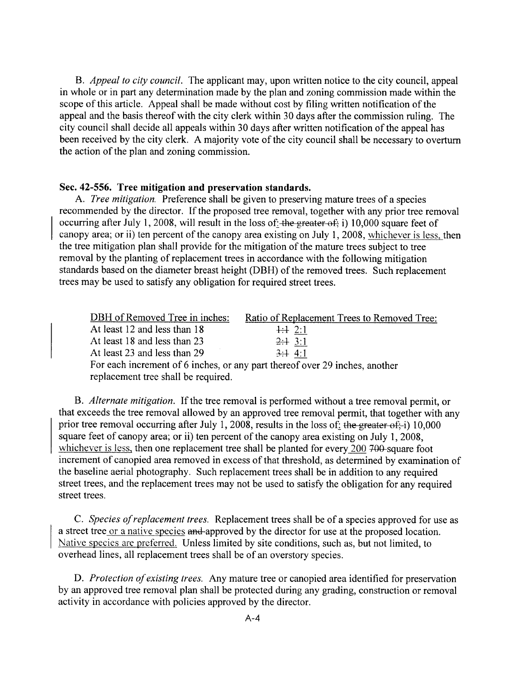B. Appeal to city council. The applicant may, upon written notice to the city council, appeal in whole or in part any determination made by the plan and zoning commission made within the scope of this article. Appeal shall be made without cost by fiing written notification of the appeal and the basis thereof with the city clerk within 30 days after the commission ruling. The city council shall decide all appeals within 30 days after written notification of the appeal has been received by the city clerk. A majority vote of the city council shall be necessary to overturn the action of the plan and zoning commission.

#### Sec. 42-556. Tree mitigation and preservation standards.

A. Tree mitigation. Preference shall be given to preserving mature trees of a species recommended by the director. If the proposed tree removal, together with any prior tree removal occurring after July 1, 2008, will result in the loss of: the greater of; i) 10,000 square feet of canopy area; or ii) ten percent of the canopy area existing on July 1, 2008, whichever is less, then the tree mitigation plan shall provide for the mitigation of the mature trees subject to tree removal by the planting of replacement trees in accordance with the following mitigation standards based on the diameter breast height (DBH) of the removed trees. Such replacement trees may be used to satisfy any obligation for required street trees.

| <b>DBH</b> of Removed Tree in inches: | Ratio of Replacement Trees to Removed Tree:                                 |
|---------------------------------------|-----------------------------------------------------------------------------|
| At least 12 and less than 18          | $\div 2:1$                                                                  |
| At least 18 and less than 23          | $2 \div 3:1$                                                                |
| At least 23 and less than 29          | 3:14:1                                                                      |
|                                       | For each increment of 6 inches, or any part thereof over 29 inches, another |
| replacement tree shall be required.   |                                                                             |

B. Alternate mitigation. If the tree removal is performed without a tree removal permit, or that exceeds the tree removal allowed by an approved tree removal permit, that together with any prior tree removal occurring after July 1, 2008, results in the loss of: the greater of; i) 10,000 square feet of canopy area; or ii) ten percent of the canopy area existing on July 1, 2008, whichever is less, then one replacement tree shall be planted for every  $200,700$ -square foot increment of canopied area removed in excess of that threshold, as determined by examination of the baseline aerial photography. Such replacement trees shall be in addition to any required street trees, and the replacement trees may not be used to satisfy the obligation for any required street trees.

C. Species of replacement trees. Replacement trees shall be ofa species approved for use as a street tree or a native species and approved by the director for use at the proposed location. Native species are preferred. Unless limited by site conditions, such as, but not limited, to overhead lines, all replacement trees shall be of an overstory species.

D. Protection of existing trees. Any mature tree or canopied area identified for preservation by an approved tree removal plan shall be protected during any grading, construction or removal activity in accordance with policies approved by the director.